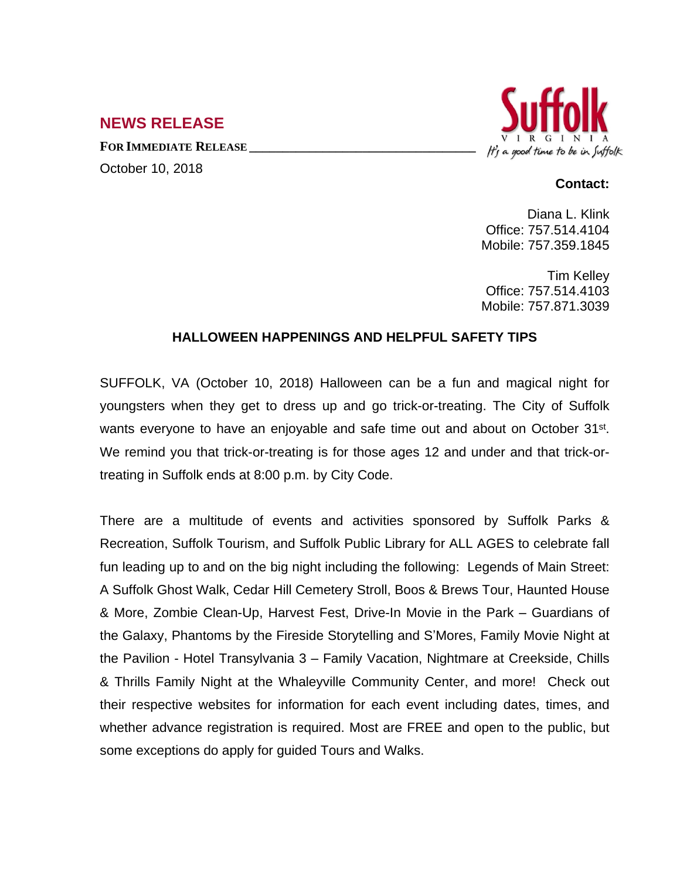# **NEWS RELEASE**

**FOR IMMEDIATE RELEASE \_\_\_\_\_\_\_\_\_\_\_\_\_\_\_\_\_\_\_\_\_\_\_\_\_\_\_\_\_\_\_\_\_\_** October 10, 2018



#### **Contact:**

Diana L. Klink Office: 757.514.4104 Mobile: 757.359.1845

Tim Kelley Office: 757.514.4103 Mobile: 757.871.3039

#### **HALLOWEEN HAPPENINGS AND HELPFUL SAFETY TIPS**

SUFFOLK, VA (October 10, 2018) Halloween can be a fun and magical night for youngsters when they get to dress up and go trick-or-treating. The City of Suffolk wants everyone to have an enjoyable and safe time out and about on October 31<sup>st</sup>. We remind you that trick-or-treating is for those ages 12 and under and that trick-ortreating in Suffolk ends at 8:00 p.m. by City Code.

There are a multitude of events and activities sponsored by Suffolk Parks & Recreation, Suffolk Tourism, and Suffolk Public Library for ALL AGES to celebrate fall fun leading up to and on the big night including the following: Legends of Main Street: A Suffolk Ghost Walk, Cedar Hill Cemetery Stroll, Boos & Brews Tour, Haunted House & More, Zombie Clean-Up, Harvest Fest, Drive-In Movie in the Park – Guardians of the Galaxy, Phantoms by the Fireside Storytelling and S'Mores, Family Movie Night at the Pavilion - Hotel Transylvania 3 – Family Vacation, Nightmare at Creekside, Chills & Thrills Family Night at the Whaleyville Community Center, and more! Check out their respective websites for information for each event including dates, times, and whether advance registration is required. Most are FREE and open to the public, but some exceptions do apply for guided Tours and Walks.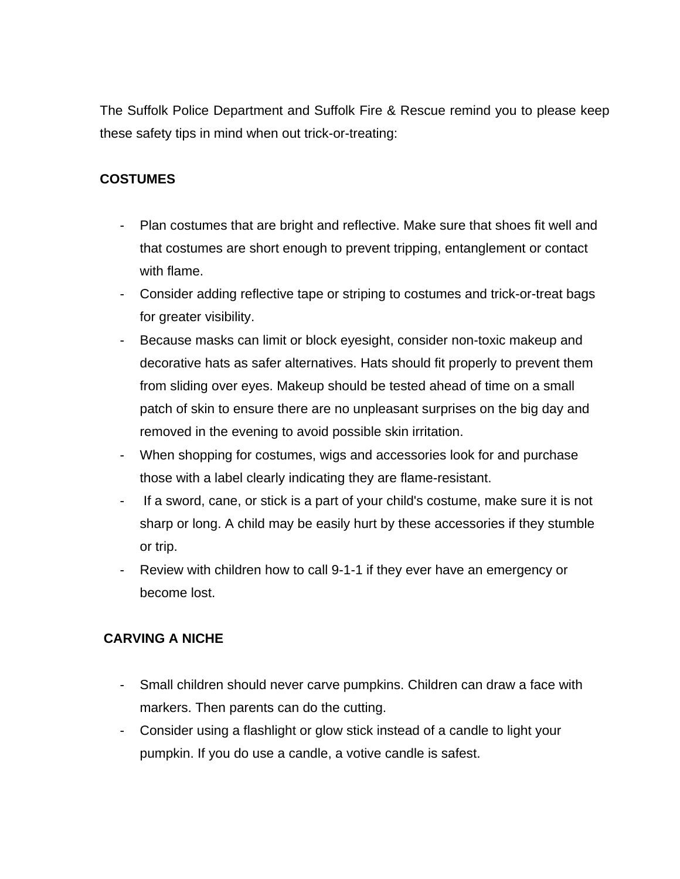The Suffolk Police Department and Suffolk Fire & Rescue remind you to please keep these safety tips in mind when out trick-or-treating:

### **COSTUMES**

- Plan costumes that are bright and reflective. Make sure that shoes fit well and that costumes are short enough to prevent tripping, entanglement or contact with flame.
- Consider adding reflective tape or striping to costumes and trick-or-treat bags for greater visibility.
- Because masks can limit or block eyesight, consider non-toxic makeup and decorative hats as safer alternatives. Hats should fit properly to prevent them from sliding over eyes. Makeup should be tested ahead of time on a small patch of skin to ensure there are no unpleasant surprises on the big day and removed in the evening to avoid possible skin irritation.
- When shopping for costumes, wigs and accessories look for and purchase those with a label clearly indicating they are flame-resistant.
- If a sword, cane, or stick is a part of your child's costume, make sure it is not sharp or long. A child may be easily hurt by these accessories if they stumble or trip.
- Review with children how to call 9-1-1 if they ever have an emergency or become lost.

## **CARVING A NICHE**

- Small children should never carve pumpkins. Children can draw a face with markers. Then parents can do the cutting.
- Consider using a flashlight or glow stick instead of a candle to light your pumpkin. If you do use a candle, a votive candle is safest.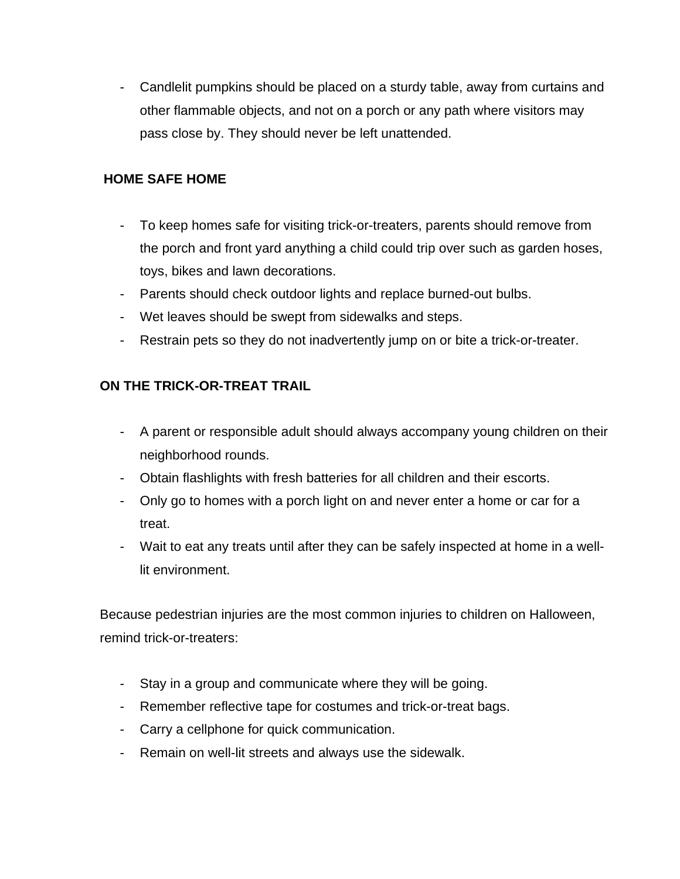- Candlelit pumpkins should be placed on a sturdy table, away from curtains and other flammable objects, and not on a porch or any path where visitors may pass close by. They should never be left unattended.

### **HOME SAFE HOME**

- To keep homes safe for visiting trick-or-treaters, parents should remove from the porch and front yard anything a child could trip over such as garden hoses, toys, bikes and lawn decorations.
- Parents should check outdoor lights and replace burned-out bulbs.
- Wet leaves should be swept from sidewalks and steps.
- Restrain pets so they do not inadvertently jump on or bite a trick-or-treater.

## **ON THE TRICK-OR-TREAT TRAIL**

- A parent or responsible adult should always accompany young children on their neighborhood rounds.
- Obtain flashlights with fresh batteries for all children and their escorts.
- Only go to homes with a porch light on and never enter a home or car for a treat.
- Wait to eat any treats until after they can be safely inspected at home in a welllit environment.

Because pedestrian injuries are the most common injuries to children on Halloween, remind trick-or-treaters:

- Stay in a group and communicate where they will be going.
- Remember reflective tape for costumes and trick-or-treat bags.
- Carry a cellphone for quick communication.
- Remain on well-lit streets and always use the sidewalk.